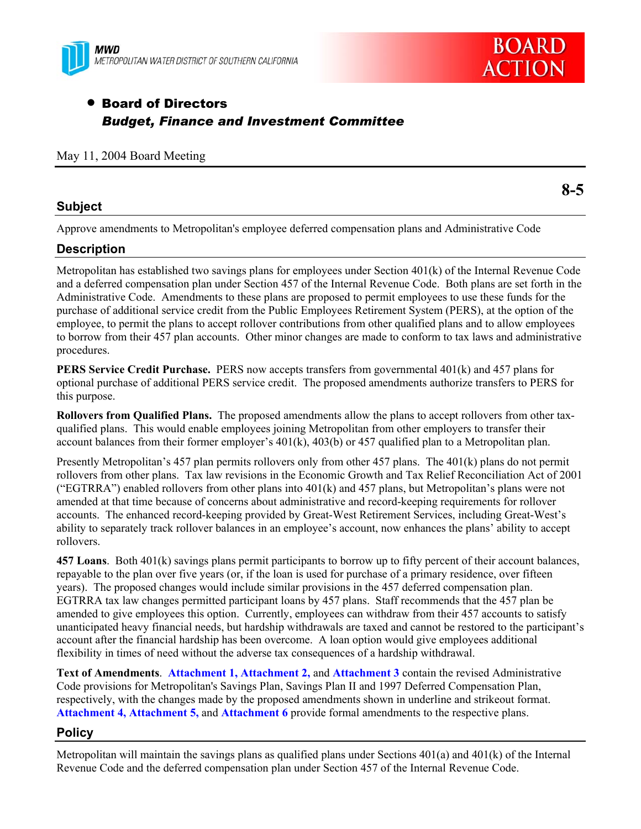



# • Board of Directors *Budget, Finance and Investment Committee*

### May 11, 2004 Board Meeting

### **Subject**

Approve amendments to Metropolitan's employee deferred compensation plans and Administrative Code

# **Description**

Metropolitan has established two savings plans for employees under Section 401(k) of the Internal Revenue Code and a deferred compensation plan under Section 457 of the Internal Revenue Code. Both plans are set forth in the Administrative Code. Amendments to these plans are proposed to permit employees to use these funds for the purchase of additional service credit from the Public Employees Retirement System (PERS), at the option of the employee, to permit the plans to accept rollover contributions from other qualified plans and to allow employees to borrow from their 457 plan accounts. Other minor changes are made to conform to tax laws and administrative procedures.

**PERS Service Credit Purchase.** PERS now accepts transfers from governmental 401(k) and 457 plans for optional purchase of additional PERS service credit. The proposed amendments authorize transfers to PERS for this purpose.

**Rollovers from Qualified Plans.** The proposed amendments allow the plans to accept rollovers from other taxqualified plans. This would enable employees joining Metropolitan from other employers to transfer their account balances from their former employer's  $401(k)$ ,  $403(b)$  or  $457$  qualified plan to a Metropolitan plan.

Presently Metropolitan's 457 plan permits rollovers only from other 457 plans. The 401(k) plans do not permit rollovers from other plans. Tax law revisions in the Economic Growth and Tax Relief Reconciliation Act of 2001 ("EGTRRA") enabled rollovers from other plans into  $401(k)$  and 457 plans, but Metropolitan's plans were not amended at that time because of concerns about administrative and record-keeping requirements for rollover accounts. The enhanced record-keeping provided by Great-West Retirement Services, including Great-West's ability to separately track rollover balances in an employee's account, now enhances the plans' ability to accept rollovers.

**457 Loans**. Both 401(k) savings plans permit participants to borrow up to fifty percent of their account balances, repayable to the plan over five years (or, if the loan is used for purchase of a primary residence, over fifteen years). The proposed changes would include similar provisions in the 457 deferred compensation plan. EGTRRA tax law changes permitted participant loans by 457 plans. Staff recommends that the 457 plan be amended to give employees this option. Currently, employees can withdraw from their 457 accounts to satisfy unanticipated heavy financial needs, but hardship withdrawals are taxed and cannot be restored to the participant's account after the financial hardship has been overcome. A loan option would give employees additional flexibility in times of need without the adverse tax consequences of a hardship withdrawal.

Text of Amendments. Attachment 1, Attachment 2, and Attachment 3 contain the revised Administrative Code provisions for Metropolitan's Savings Plan, Savings Plan II and 1997 Deferred Compensation Plan, respectively, with the changes made by the proposed amendments shown in underline and strikeout format. **Attachment 4, Attachment 5, and Attachment 6** provide formal amendments to the respective plans.

### **Policy**

Metropolitan will maintain the savings plans as qualified plans under Sections  $401(a)$  and  $401(k)$  of the Internal Revenue Code and the deferred compensation plan under Section 457 of the Internal Revenue Code.

**8-5**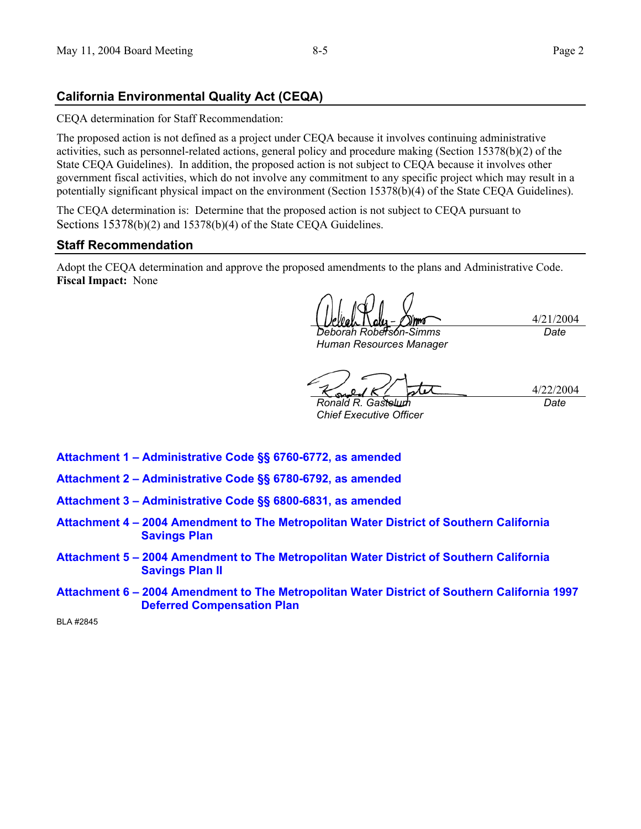# **California Environmental Quality Act (CEQA)**

CEQA determination for Staff Recommendation:

The proposed action is not defined as a project under CEQA because it involves continuing administrative activities, such as personnel-related actions, general policy and procedure making (Section 15378(b)(2) of the State CEQA Guidelines). In addition, the proposed action is not subject to CEQA because it involves other government fiscal activities, which do not involve any commitment to any specific project which may result in a potentially significant physical impact on the environment (Section 15378(b)(4) of the State CEQA Guidelines).

The CEQA determination is: Determine that the proposed action is not subject to CEQA pursuant to Sections 15378(b)(2) and 15378(b)(4) of the State CEQA Guidelines.

### **Staff Recommendation**

Adopt the CEQA determination and approve the proposed amendments to the plans and Administrative Code. **Fiscal Impact:** None

4/21/2004 *Deborah Roberson-Simms* 

*Human Resources Manager* 

*Date* 

4/22/2004

*Ronald R. Gastelum Chief Executive Officer*  *Date* 

- **Attachment 1 Administrative Code §§ 6760-6772, as amended**
- **Attachment 2 Administrative Code §§ 6780-6792, as amended**
- **Attachment 3 Administrative Code §§ 6800-6831, as amended**
- **Attachment 4 2004 Amendment to The Metropolitan Water District of Southern California Savings Plan**
- **Attachment 5 2004 Amendment to The Metropolitan Water District of Southern California Savings Plan II**
- **Attachment 6 2004 Amendment to The Metropolitan Water District of Southern California 1997 Deferred Compensation Plan**

BLA #2845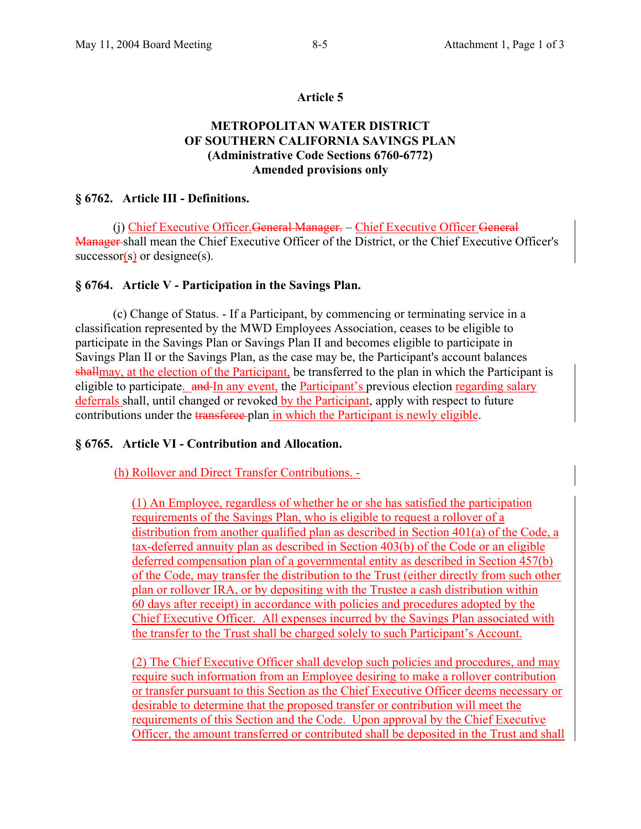### **Article 5**

# **METROPOLITAN WATER DISTRICT OF SOUTHERN CALIFORNIA SAVINGS PLAN (Administrative Code Sections 6760-6772) Amended provisions only**

### **§ 6762. Article III - Definitions.**

 (j) Chief Executive Officer.General Manager. – Chief Executive Officer General Manager shall mean the Chief Executive Officer of the District, or the Chief Executive Officer's  $successor(s)$  or designee(s).

#### **§ 6764. Article V - Participation in the Savings Plan.**

 (c) Change of Status. - If a Participant, by commencing or terminating service in a classification represented by the MWD Employees Association, ceases to be eligible to participate in the Savings Plan or Savings Plan II and becomes eligible to participate in Savings Plan II or the Savings Plan, as the case may be, the Participant's account balances shallmay, at the election of the Participant, be transferred to the plan in which the Participant is eligible to participate. and In any event, the Participant's previous election regarding salary deferrals shall, until changed or revoked by the Participant, apply with respect to future contributions under the transferee plan in which the Participant is newly eligible.

#### **§ 6765. Article VI - Contribution and Allocation.**

(h) Rollover and Direct Transfer Contributions. -

(1) An Employee, regardless of whether he or she has satisfied the participation requirements of the Savings Plan, who is eligible to request a rollover of a distribution from another qualified plan as described in Section 401(a) of the Code, a tax-deferred annuity plan as described in Section 403(b) of the Code or an eligible deferred compensation plan of a governmental entity as described in Section 457(b) of the Code, may transfer the distribution to the Trust (either directly from such other plan or rollover IRA, or by depositing with the Trustee a cash distribution within 60 days after receipt) in accordance with policies and procedures adopted by the Chief Executive Officer. All expenses incurred by the Savings Plan associated with the transfer to the Trust shall be charged solely to such Participant's Account.

(2) The Chief Executive Officer shall develop such policies and procedures, and may require such information from an Employee desiring to make a rollover contribution or transfer pursuant to this Section as the Chief Executive Officer deems necessary or desirable to determine that the proposed transfer or contribution will meet the requirements of this Section and the Code. Upon approval by the Chief Executive Officer, the amount transferred or contributed shall be deposited in the Trust and shall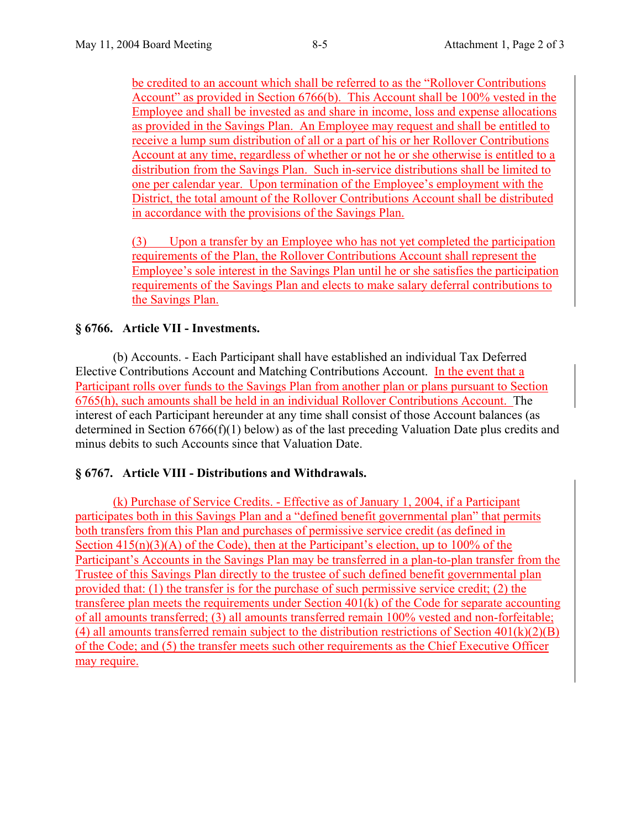be credited to an account which shall be referred to as the "Rollover Contributions Account" as provided in Section 6766(b). This Account shall be 100% vested in the Employee and shall be invested as and share in income, loss and expense allocations as provided in the Savings Plan. An Employee may request and shall be entitled to receive a lump sum distribution of all or a part of his or her Rollover Contributions Account at any time, regardless of whether or not he or she otherwise is entitled to a distribution from the Savings Plan. Such in-service distributions shall be limited to one per calendar year. Upon termination of the Employee's employment with the District, the total amount of the Rollover Contributions Account shall be distributed in accordance with the provisions of the Savings Plan.

(3) Upon a transfer by an Employee who has not yet completed the participation requirements of the Plan, the Rollover Contributions Account shall represent the Employee's sole interest in the Savings Plan until he or she satisfies the participation requirements of the Savings Plan and elects to make salary deferral contributions to the Savings Plan.

# **§ 6766. Article VII - Investments.**

 (b) Accounts. - Each Participant shall have established an individual Tax Deferred Elective Contributions Account and Matching Contributions Account. In the event that a Participant rolls over funds to the Savings Plan from another plan or plans pursuant to Section 6765(h), such amounts shall be held in an individual Rollover Contributions Account. The interest of each Participant hereunder at any time shall consist of those Account balances (as determined in Section 6766(f)(1) below) as of the last preceding Valuation Date plus credits and minus debits to such Accounts since that Valuation Date.

# **§ 6767. Article VIII - Distributions and Withdrawals.**

(k) Purchase of Service Credits. - Effective as of January 1, 2004, if a Participant participates both in this Savings Plan and a "defined benefit governmental plan" that permits both transfers from this Plan and purchases of permissive service credit (as defined in Section  $415(n)(3)(A)$  of the Code), then at the Participant's election, up to 100% of the Participant's Accounts in the Savings Plan may be transferred in a plan-to-plan transfer from the Trustee of this Savings Plan directly to the trustee of such defined benefit governmental plan provided that: (1) the transfer is for the purchase of such permissive service credit; (2) the transferee plan meets the requirements under Section 401(k) of the Code for separate accounting of all amounts transferred; (3) all amounts transferred remain 100% vested and non-forfeitable; (4) all amounts transferred remain subject to the distribution restrictions of Section  $401(k)(2)(B)$ of the Code; and (5) the transfer meets such other requirements as the Chief Executive Officer may require.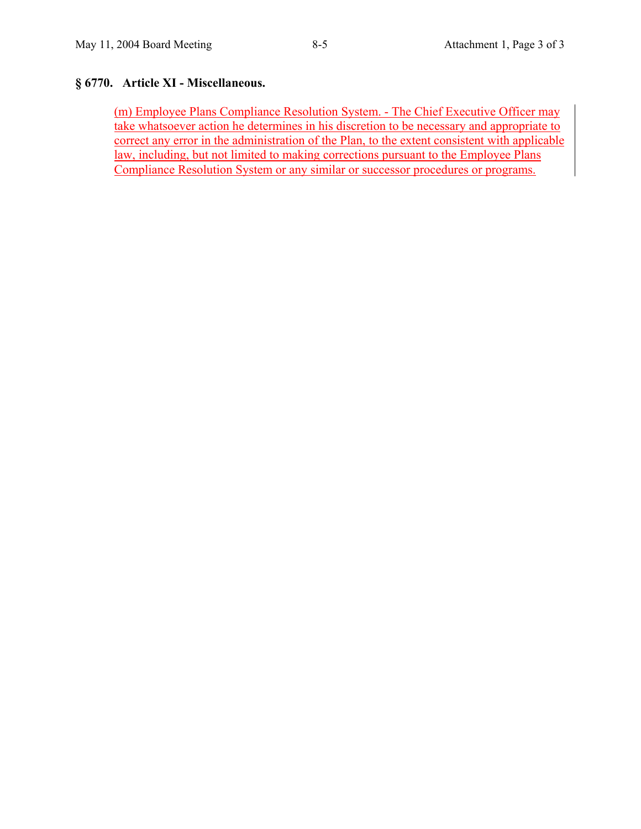# **§ 6770. Article XI - Miscellaneous.**

(m) Employee Plans Compliance Resolution System. - The Chief Executive Officer may take whatsoever action he determines in his discretion to be necessary and appropriate to correct any error in the administration of the Plan, to the extent consistent with applicable law, including, but not limited to making corrections pursuant to the Employee Plans Compliance Resolution System or any similar or successor procedures or programs.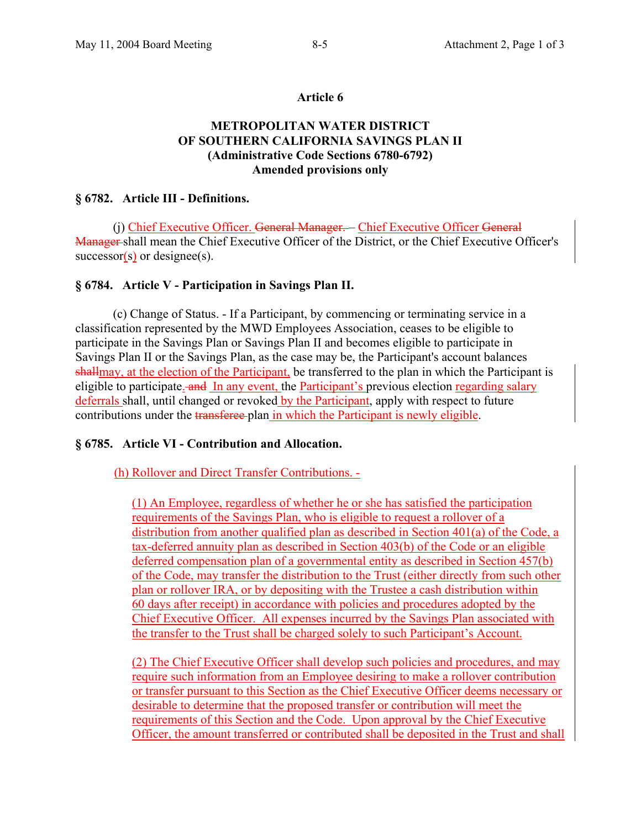#### **Article 6**

# **METROPOLITAN WATER DISTRICT OF SOUTHERN CALIFORNIA SAVINGS PLAN II (Administrative Code Sections 6780-6792) Amended provisions only**

### **§ 6782. Article III - Definitions.**

 (j) Chief Executive Officer. General Manager. – Chief Executive Officer General Manager shall mean the Chief Executive Officer of the District, or the Chief Executive Officer's  $successor(s)$  or designee(s).

#### **§ 6784. Article V - Participation in Savings Plan II.**

 (c) Change of Status. - If a Participant, by commencing or terminating service in a classification represented by the MWD Employees Association, ceases to be eligible to participate in the Savings Plan or Savings Plan II and becomes eligible to participate in Savings Plan II or the Savings Plan, as the case may be, the Participant's account balances shallmay, at the election of the Participant, be transferred to the plan in which the Participant is eligible to participate. and In any event, the Participant's previous election regarding salary deferrals shall, until changed or revoked by the Participant, apply with respect to future contributions under the transferee plan in which the Participant is newly eligible.

#### **§ 6785. Article VI - Contribution and Allocation.**

(h) Rollover and Direct Transfer Contributions. -

(1) An Employee, regardless of whether he or she has satisfied the participation requirements of the Savings Plan, who is eligible to request a rollover of a distribution from another qualified plan as described in Section 401(a) of the Code, a tax-deferred annuity plan as described in Section 403(b) of the Code or an eligible deferred compensation plan of a governmental entity as described in Section 457(b) of the Code, may transfer the distribution to the Trust (either directly from such other plan or rollover IRA, or by depositing with the Trustee a cash distribution within 60 days after receipt) in accordance with policies and procedures adopted by the Chief Executive Officer. All expenses incurred by the Savings Plan associated with the transfer to the Trust shall be charged solely to such Participant's Account.

(2) The Chief Executive Officer shall develop such policies and procedures, and may require such information from an Employee desiring to make a rollover contribution or transfer pursuant to this Section as the Chief Executive Officer deems necessary or desirable to determine that the proposed transfer or contribution will meet the requirements of this Section and the Code. Upon approval by the Chief Executive Officer, the amount transferred or contributed shall be deposited in the Trust and shall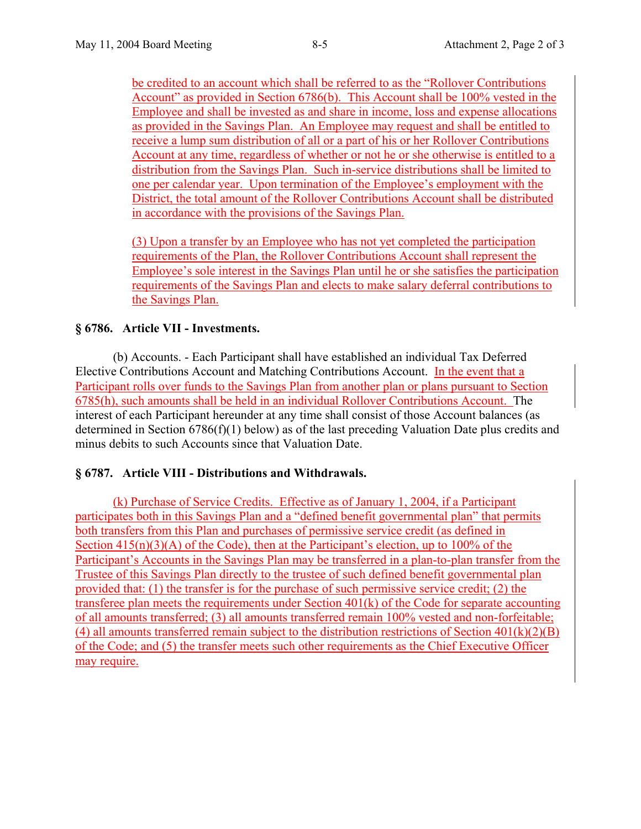be credited to an account which shall be referred to as the "Rollover Contributions Account" as provided in Section 6786(b). This Account shall be 100% vested in the Employee and shall be invested as and share in income, loss and expense allocations as provided in the Savings Plan. An Employee may request and shall be entitled to receive a lump sum distribution of all or a part of his or her Rollover Contributions Account at any time, regardless of whether or not he or she otherwise is entitled to a distribution from the Savings Plan. Such in-service distributions shall be limited to one per calendar year. Upon termination of the Employee's employment with the District, the total amount of the Rollover Contributions Account shall be distributed in accordance with the provisions of the Savings Plan.

(3) Upon a transfer by an Employee who has not yet completed the participation requirements of the Plan, the Rollover Contributions Account shall represent the Employee's sole interest in the Savings Plan until he or she satisfies the participation requirements of the Savings Plan and elects to make salary deferral contributions to the Savings Plan.

# **§ 6786. Article VII - Investments.**

 (b) Accounts. - Each Participant shall have established an individual Tax Deferred Elective Contributions Account and Matching Contributions Account. In the event that a Participant rolls over funds to the Savings Plan from another plan or plans pursuant to Section 6785(h), such amounts shall be held in an individual Rollover Contributions Account. The interest of each Participant hereunder at any time shall consist of those Account balances (as determined in Section 6786(f)(1) below) as of the last preceding Valuation Date plus credits and minus debits to such Accounts since that Valuation Date.

# **§ 6787. Article VIII - Distributions and Withdrawals.**

(k) Purchase of Service Credits. Effective as of January 1, 2004, if a Participant participates both in this Savings Plan and a "defined benefit governmental plan" that permits both transfers from this Plan and purchases of permissive service credit (as defined in Section  $415(n)(3)(A)$  of the Code), then at the Participant's election, up to 100% of the Participant's Accounts in the Savings Plan may be transferred in a plan-to-plan transfer from the Trustee of this Savings Plan directly to the trustee of such defined benefit governmental plan provided that: (1) the transfer is for the purchase of such permissive service credit; (2) the transferee plan meets the requirements under Section 401(k) of the Code for separate accounting of all amounts transferred; (3) all amounts transferred remain 100% vested and non-forfeitable; (4) all amounts transferred remain subject to the distribution restrictions of Section  $401(k)(2)(B)$ of the Code; and (5) the transfer meets such other requirements as the Chief Executive Officer may require.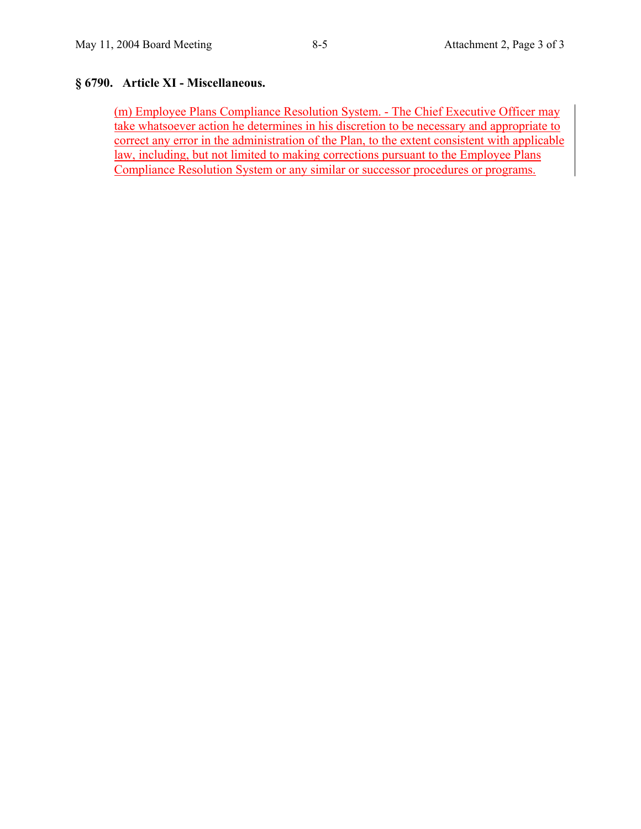# **§ 6790. Article XI - Miscellaneous.**

(m) Employee Plans Compliance Resolution System. - The Chief Executive Officer may take whatsoever action he determines in his discretion to be necessary and appropriate to correct any error in the administration of the Plan, to the extent consistent with applicable law, including, but not limited to making corrections pursuant to the Employee Plans Compliance Resolution System or any similar or successor procedures or programs.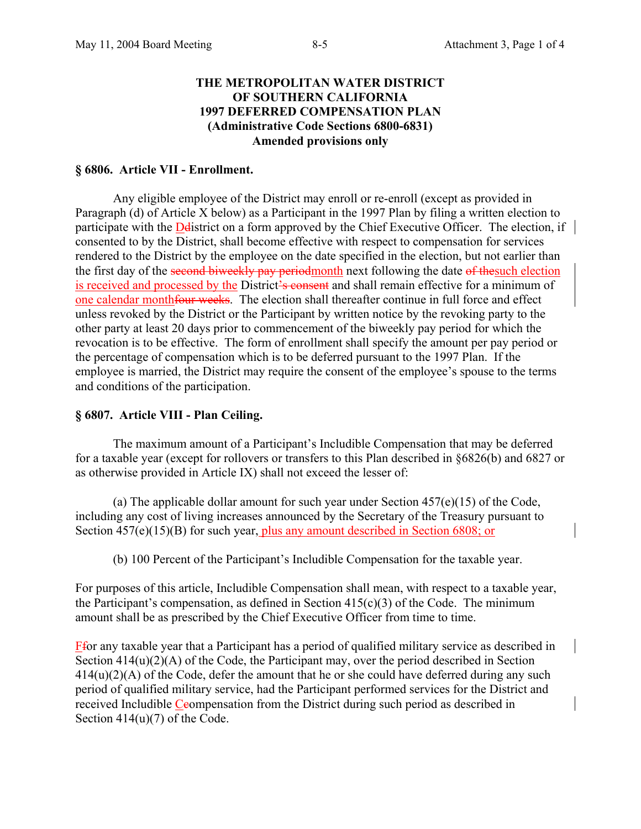### **THE METROPOLITAN WATER DISTRICT OF SOUTHERN CALIFORNIA 1997 DEFERRED COMPENSATION PLAN (Administrative Code Sections 6800-6831) Amended provisions only**

#### **§ 6806. Article VII - Enrollment.**

 Any eligible employee of the District may enroll or re-enroll (except as provided in Paragraph (d) of Article X below) as a Participant in the 1997 Plan by filing a written election to participate with the Delistrict on a form approved by the Chief Executive Officer. The election, if consented to by the District, shall become effective with respect to compensation for services rendered to the District by the employee on the date specified in the election, but not earlier than the first day of the second biweekly pay periodmonth next following the date of the such election is received and processed by the District's consent and shall remain effective for a minimum of one calendar monthfour weeks. The election shall thereafter continue in full force and effect unless revoked by the District or the Participant by written notice by the revoking party to the other party at least 20 days prior to commencement of the biweekly pay period for which the revocation is to be effective. The form of enrollment shall specify the amount per pay period or the percentage of compensation which is to be deferred pursuant to the 1997 Plan. If the employee is married, the District may require the consent of the employee's spouse to the terms and conditions of the participation.

#### **§ 6807. Article VIII - Plan Ceiling.**

 The maximum amount of a Participant's Includible Compensation that may be deferred for a taxable year (except for rollovers or transfers to this Plan described in §6826(b) and 6827 or as otherwise provided in Article IX) shall not exceed the lesser of:

(a) The applicable dollar amount for such year under Section  $457(e)(15)$  of the Code, including any cost of living increases announced by the Secretary of the Treasury pursuant to Section 457(e)(15)(B) for such year, plus any amount described in Section 6808; or

(b) 100 Percent of the Participant's Includible Compensation for the taxable year.

For purposes of this article, Includible Compensation shall mean, with respect to a taxable year, the Participant's compensation, as defined in Section 415(c)(3) of the Code.The minimum amount shall be as prescribed by the Chief Executive Officer from time to time.

Ffor any taxable year that a Participant has a period of qualified military service as described in Section  $414(u)(2)(A)$  of the Code, the Participant may, over the period described in Section  $414(u)(2)(A)$  of the Code, defer the amount that he or she could have deferred during any such period of qualified military service, had the Participant performed services for the District and received Includible Ceompensation from the District during such period as described in Section  $414(u)(7)$  of the Code.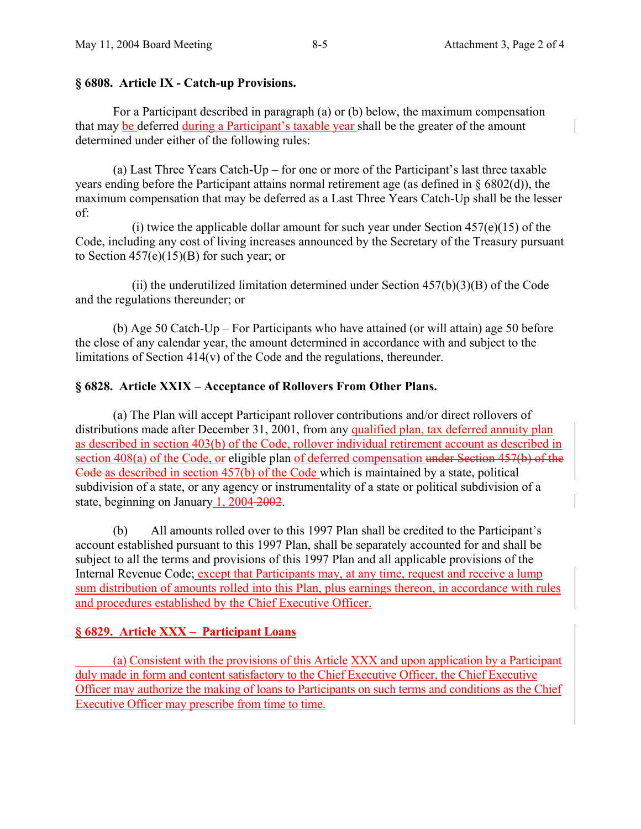### **§ 6808. Article IX - Catch-up Provisions.**

 For a Participant described in paragraph (a) or (b) below, the maximum compensation that may be deferred during a Participant's taxable year shall be the greater of the amount determined under either of the following rules:

 (a) Last Three Years Catch-Up – for one or more of the Participant's last three taxable years ending before the Participant attains normal retirement age (as defined in § 6802(d)), the maximum compensation that may be deferred as a Last Three Years Catch-Up shall be the lesser of:

(i) twice the applicable dollar amount for such year under Section  $457(e)(15)$  of the Code, including any cost of living increases announced by the Secretary of the Treasury pursuant to Section  $457(e)(15)(B)$  for such year; or

(ii) the underutilized limitation determined under Section  $457(b)(3)(B)$  of the Code and the regulations thereunder; or

 (b) Age 50 Catch-Up – For Participants who have attained (or will attain) age 50 before the close of any calendar year, the amount determined in accordance with and subject to the limitations of Section 414(v) of the Code and the regulations, thereunder.

# **§ 6828. Article XXIX – Acceptance of Rollovers From Other Plans.**

 (a) The Plan will accept Participant rollover contributions and/or direct rollovers of distributions made after December 31, 2001, from any qualified plan, tax deferred annuity plan as described in section 403(b) of the Code, rollover individual retirement account as described in section 408(a) of the Code, or eligible plan of deferred compensation under Section 457(b) of the Code as described in section 457(b) of the Code which is maintained by a state, political subdivision of a state, or any agency or instrumentality of a state or political subdivision of a state, beginning on January 1, 2004 2002.

 (b) All amounts rolled over to this 1997 Plan shall be credited to the Participant's account established pursuant to this 1997 Plan, shall be separately accounted for and shall be subject to all the terms and provisions of this 1997 Plan and all applicable provisions of the Internal Revenue Code; except that Participants may, at any time, request and receive a lump sum distribution of amounts rolled into this Plan, plus earnings thereon, in accordance with rules and procedures established by the Chief Executive Officer.

# **§ 6829. Article XXX – Participant Loans**

 (a) Consistent with the provisions of this Article XXX and upon application by a Participant duly made in form and content satisfactory to the Chief Executive Officer, the Chief Executive Officer may authorize the making of loans to Participants on such terms and conditions as the Chief Executive Officer may prescribe from time to time.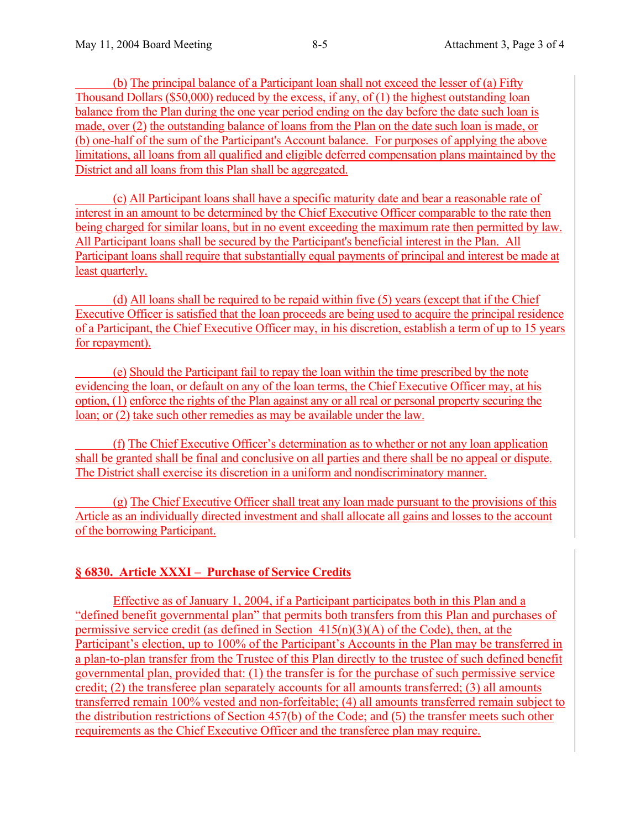(b) The principal balance of a Participant loan shall not exceed the lesser of (a) Fifty Thousand Dollars (\$50,000) reduced by the excess, if any, of (1) the highest outstanding loan balance from the Plan during the one year period ending on the day before the date such loan is made, over (2) the outstanding balance of loans from the Plan on the date such loan is made, or (b) one-half of the sum of the Participant's Account balance. For purposes of applying the above limitations, all loans from all qualified and eligible deferred compensation plans maintained by the District and all loans from this Plan shall be aggregated.

 (c) All Participant loans shall have a specific maturity date and bear a reasonable rate of interest in an amount to be determined by the Chief Executive Officer comparable to the rate then being charged for similar loans, but in no event exceeding the maximum rate then permitted by law. All Participant loans shall be secured by the Participant's beneficial interest in the Plan. All Participant loans shall require that substantially equal payments of principal and interest be made at least quarterly.

 (d) All loans shall be required to be repaid within five (5) years (except that if the Chief Executive Officer is satisfied that the loan proceeds are being used to acquire the principal residence of a Participant, the Chief Executive Officer may, in his discretion, establish a term of up to 15 years for repayment).

 (e) Should the Participant fail to repay the loan within the time prescribed by the note evidencing the loan, or default on any of the loan terms, the Chief Executive Officer may, at his option, (1) enforce the rights of the Plan against any or all real or personal property securing the loan; or (2) take such other remedies as may be available under the law.

 (f) The Chief Executive Officer's determination as to whether or not any loan application shall be granted shall be final and conclusive on all parties and there shall be no appeal or dispute. The District shall exercise its discretion in a uniform and nondiscriminatory manner.

 (g) The Chief Executive Officer shall treat any loan made pursuant to the provisions of this Article as an individually directed investment and shall allocate all gains and losses to the account of the borrowing Participant.

# **§ 6830. Article XXXI – Purchase of Service Credits**

Effective as of January 1, 2004, if a Participant participates both in this Plan and a "defined benefit governmental plan" that permits both transfers from this Plan and purchases of permissive service credit (as defined in Section  $415(n)(3)(A)$  of the Code), then, at the Participant's election, up to 100% of the Participant's Accounts in the Plan may be transferred in a plan-to-plan transfer from the Trustee of this Plan directly to the trustee of such defined benefit governmental plan, provided that: (1) the transfer is for the purchase of such permissive service credit; (2) the transferee plan separately accounts for all amounts transferred; (3) all amounts transferred remain 100% vested and non-forfeitable; (4) all amounts transferred remain subject to the distribution restrictions of Section 457(b) of the Code; and (5) the transfer meets such other requirements as the Chief Executive Officer and the transferee plan may require.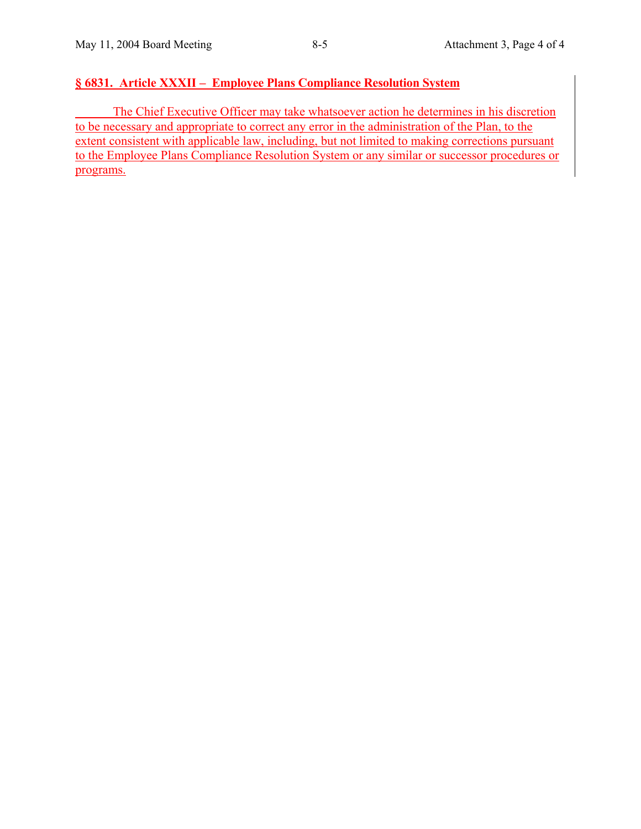# **§ 6831. Article XXXII – Employee Plans Compliance Resolution System**

 The Chief Executive Officer may take whatsoever action he determines in his discretion to be necessary and appropriate to correct any error in the administration of the Plan, to the extent consistent with applicable law, including, but not limited to making corrections pursuant to the Employee Plans Compliance Resolution System or any similar or successor procedures or programs.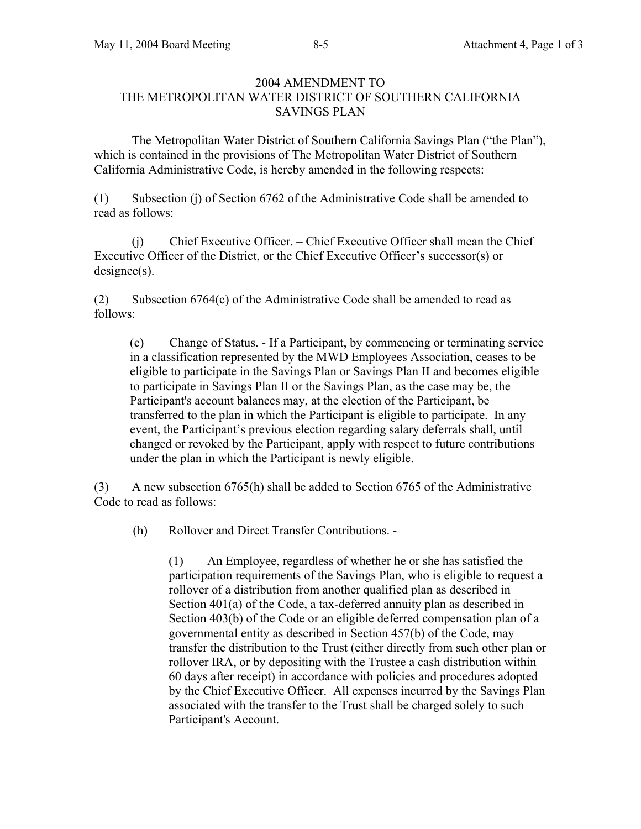# 2004 AMENDMENT TO THE METROPOLITAN WATER DISTRICT OF SOUTHERN CALIFORNIA SAVINGS PLAN

 The Metropolitan Water District of Southern California Savings Plan ("the Plan"), which is contained in the provisions of The Metropolitan Water District of Southern California Administrative Code, is hereby amended in the following respects:

(1) Subsection (j) of Section 6762 of the Administrative Code shall be amended to read as follows:

 (j) Chief Executive Officer. – Chief Executive Officer shall mean the Chief Executive Officer of the District, or the Chief Executive Officer's successor(s) or designee(s).

(2) Subsection 6764(c) of the Administrative Code shall be amended to read as follows:

(c) Change of Status. - If a Participant, by commencing or terminating service in a classification represented by the MWD Employees Association, ceases to be eligible to participate in the Savings Plan or Savings Plan II and becomes eligible to participate in Savings Plan II or the Savings Plan, as the case may be, the Participant's account balances may, at the election of the Participant, be transferred to the plan in which the Participant is eligible to participate. In any event, the Participant's previous election regarding salary deferrals shall, until changed or revoked by the Participant, apply with respect to future contributions under the plan in which the Participant is newly eligible.

(3) A new subsection 6765(h) shall be added to Section 6765 of the Administrative Code to read as follows:

(h) Rollover and Direct Transfer Contributions. -

(1) An Employee, regardless of whether he or she has satisfied the participation requirements of the Savings Plan, who is eligible to request a rollover of a distribution from another qualified plan as described in Section 401(a) of the Code, a tax-deferred annuity plan as described in Section 403(b) of the Code or an eligible deferred compensation plan of a governmental entity as described in Section 457(b) of the Code, may transfer the distribution to the Trust (either directly from such other plan or rollover IRA, or by depositing with the Trustee a cash distribution within 60 days after receipt) in accordance with policies and procedures adopted by the Chief Executive Officer. All expenses incurred by the Savings Plan associated with the transfer to the Trust shall be charged solely to such Participant's Account.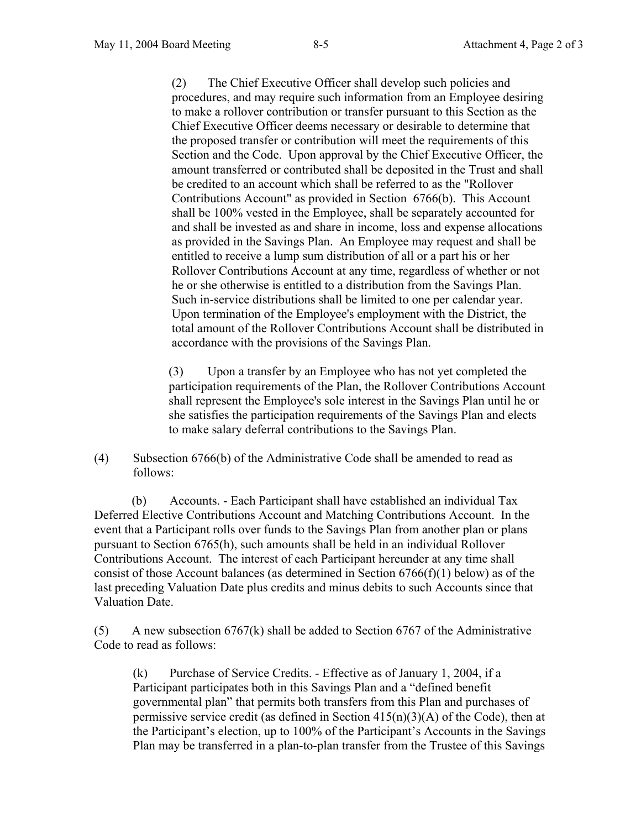(2) The Chief Executive Officer shall develop such policies and procedures, and may require such information from an Employee desiring to make a rollover contribution or transfer pursuant to this Section as the Chief Executive Officer deems necessary or desirable to determine that the proposed transfer or contribution will meet the requirements of this Section and the Code. Upon approval by the Chief Executive Officer, the amount transferred or contributed shall be deposited in the Trust and shall be credited to an account which shall be referred to as the "Rollover Contributions Account" as provided in Section 6766(b). This Account shall be 100% vested in the Employee, shall be separately accounted for and shall be invested as and share in income, loss and expense allocations as provided in the Savings Plan. An Employee may request and shall be entitled to receive a lump sum distribution of all or a part his or her Rollover Contributions Account at any time, regardless of whether or not he or she otherwise is entitled to a distribution from the Savings Plan. Such in-service distributions shall be limited to one per calendar year. Upon termination of the Employee's employment with the District, the total amount of the Rollover Contributions Account shall be distributed in accordance with the provisions of the Savings Plan.

(3) Upon a transfer by an Employee who has not yet completed the participation requirements of the Plan, the Rollover Contributions Account shall represent the Employee's sole interest in the Savings Plan until he or she satisfies the participation requirements of the Savings Plan and elects to make salary deferral contributions to the Savings Plan.

(4) Subsection 6766(b) of the Administrative Code shall be amended to read as follows:

 (b) Accounts. - Each Participant shall have established an individual Tax Deferred Elective Contributions Account and Matching Contributions Account. In the event that a Participant rolls over funds to the Savings Plan from another plan or plans pursuant to Section 6765(h), such amounts shall be held in an individual Rollover Contributions Account. The interest of each Participant hereunder at any time shall consist of those Account balances (as determined in Section  $6766(f)(1)$  below) as of the last preceding Valuation Date plus credits and minus debits to such Accounts since that Valuation Date.

 $(5)$  A new subsection 6767(k) shall be added to Section 6767 of the Administrative Code to read as follows:

 (k) Purchase of Service Credits. - Effective as of January 1, 2004, if a Participant participates both in this Savings Plan and a "defined benefit governmental plan" that permits both transfers from this Plan and purchases of permissive service credit (as defined in Section  $415(n)(3)(A)$  of the Code), then at the Participant's election, up to 100% of the Participant's Accounts in the Savings Plan may be transferred in a plan-to-plan transfer from the Trustee of this Savings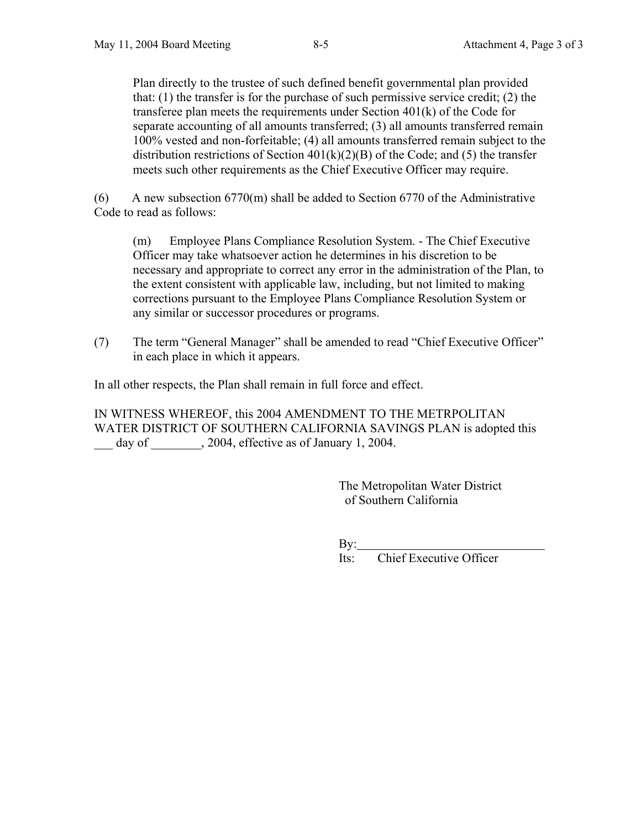Plan directly to the trustee of such defined benefit governmental plan provided that: (1) the transfer is for the purchase of such permissive service credit; (2) the transferee plan meets the requirements under Section 401(k) of the Code for separate accounting of all amounts transferred; (3) all amounts transferred remain 100% vested and non-forfeitable; (4) all amounts transferred remain subject to the distribution restrictions of Section  $401(k)(2)(B)$  of the Code; and (5) the transfer meets such other requirements as the Chief Executive Officer may require.

(6) A new subsection 6770(m) shall be added to Section 6770 of the Administrative Code to read as follows:

 (m) Employee Plans Compliance Resolution System. - The Chief Executive Officer may take whatsoever action he determines in his discretion to be necessary and appropriate to correct any error in the administration of the Plan, to the extent consistent with applicable law, including, but not limited to making corrections pursuant to the Employee Plans Compliance Resolution System or any similar or successor procedures or programs.

(7) The term "General Manager" shall be amended to read "Chief Executive Officer" in each place in which it appears.

In all other respects, the Plan shall remain in full force and effect.

IN WITNESS WHEREOF, this 2004 AMENDMENT TO THE METRPOLITAN WATER DISTRICT OF SOUTHERN CALIFORNIA SAVINGS PLAN is adopted this day of  $\qquad \qquad$ , 2004, effective as of January 1, 2004.

> The Metropolitan Water District of Southern California

 $\rm By:$ 

Its: Chief Executive Officer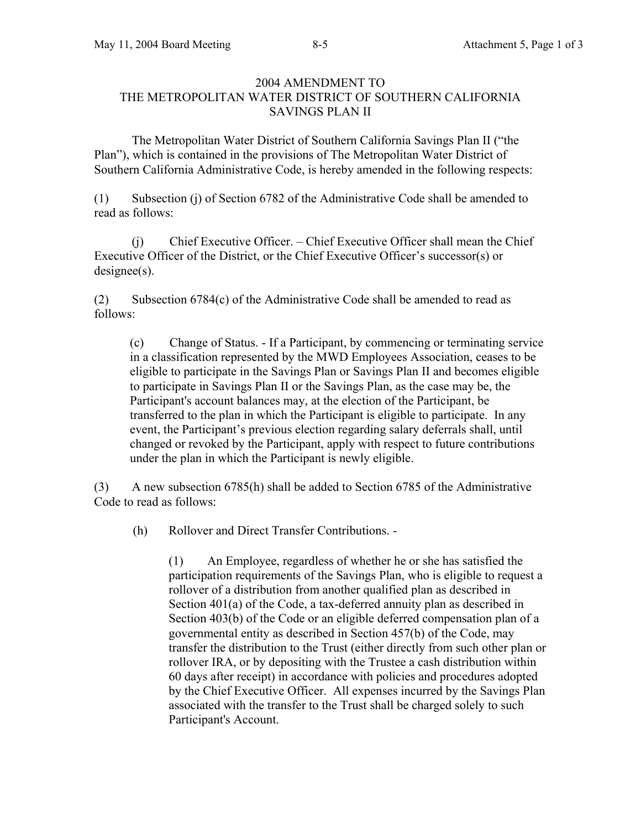# 2004 AMENDMENT TO THE METROPOLITAN WATER DISTRICT OF SOUTHERN CALIFORNIA SAVINGS PLAN II

 The Metropolitan Water District of Southern California Savings Plan II ("the Plan"), which is contained in the provisions of The Metropolitan Water District of Southern California Administrative Code, is hereby amended in the following respects:

(1) Subsection (j) of Section 6782 of the Administrative Code shall be amended to read as follows:

 (j) Chief Executive Officer. – Chief Executive Officer shall mean the Chief Executive Officer of the District, or the Chief Executive Officer's successor(s) or designee(s).

(2) Subsection 6784(c) of the Administrative Code shall be amended to read as follows:

(c) Change of Status. - If a Participant, by commencing or terminating service in a classification represented by the MWD Employees Association, ceases to be eligible to participate in the Savings Plan or Savings Plan II and becomes eligible to participate in Savings Plan II or the Savings Plan, as the case may be, the Participant's account balances may, at the election of the Participant, be transferred to the plan in which the Participant is eligible to participate. In any event, the Participant's previous election regarding salary deferrals shall, until changed or revoked by the Participant, apply with respect to future contributions under the plan in which the Participant is newly eligible.

(3) A new subsection 6785(h) shall be added to Section 6785 of the Administrative Code to read as follows:

(h) Rollover and Direct Transfer Contributions. -

(1) An Employee, regardless of whether he or she has satisfied the participation requirements of the Savings Plan, who is eligible to request a rollover of a distribution from another qualified plan as described in Section 401(a) of the Code, a tax-deferred annuity plan as described in Section 403(b) of the Code or an eligible deferred compensation plan of a governmental entity as described in Section 457(b) of the Code, may transfer the distribution to the Trust (either directly from such other plan or rollover IRA, or by depositing with the Trustee a cash distribution within 60 days after receipt) in accordance with policies and procedures adopted by the Chief Executive Officer. All expenses incurred by the Savings Plan associated with the transfer to the Trust shall be charged solely to such Participant's Account.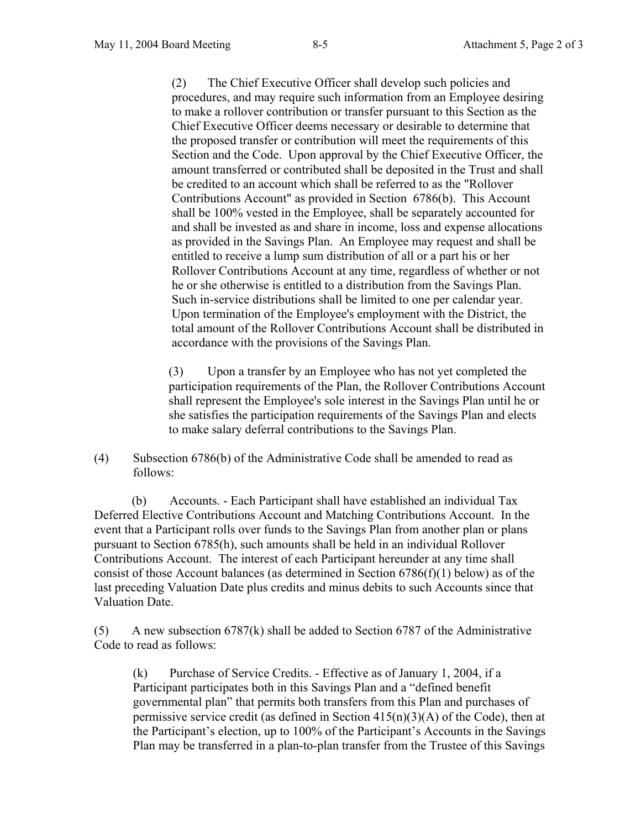(2) The Chief Executive Officer shall develop such policies and procedures, and may require such information from an Employee desiring to make a rollover contribution or transfer pursuant to this Section as the Chief Executive Officer deems necessary or desirable to determine that the proposed transfer or contribution will meet the requirements of this Section and the Code. Upon approval by the Chief Executive Officer, the amount transferred or contributed shall be deposited in the Trust and shall be credited to an account which shall be referred to as the "Rollover Contributions Account" as provided in Section 6786(b). This Account shall be 100% vested in the Employee, shall be separately accounted for and shall be invested as and share in income, loss and expense allocations as provided in the Savings Plan. An Employee may request and shall be entitled to receive a lump sum distribution of all or a part his or her Rollover Contributions Account at any time, regardless of whether or not he or she otherwise is entitled to a distribution from the Savings Plan. Such in-service distributions shall be limited to one per calendar year. Upon termination of the Employee's employment with the District, the total amount of the Rollover Contributions Account shall be distributed in accordance with the provisions of the Savings Plan.

(3) Upon a transfer by an Employee who has not yet completed the participation requirements of the Plan, the Rollover Contributions Account shall represent the Employee's sole interest in the Savings Plan until he or she satisfies the participation requirements of the Savings Plan and elects to make salary deferral contributions to the Savings Plan.

(4) Subsection 6786(b) of the Administrative Code shall be amended to read as follows:

 (b) Accounts. - Each Participant shall have established an individual Tax Deferred Elective Contributions Account and Matching Contributions Account. In the event that a Participant rolls over funds to the Savings Plan from another plan or plans pursuant to Section 6785(h), such amounts shall be held in an individual Rollover Contributions Account. The interest of each Participant hereunder at any time shall consist of those Account balances (as determined in Section  $6786(f)(1)$  below) as of the last preceding Valuation Date plus credits and minus debits to such Accounts since that Valuation Date.

(5) A new subsection 6787(k) shall be added to Section 6787 of the Administrative Code to read as follows:

 (k) Purchase of Service Credits. - Effective as of January 1, 2004, if a Participant participates both in this Savings Plan and a "defined benefit governmental plan" that permits both transfers from this Plan and purchases of permissive service credit (as defined in Section  $415(n)(3)(A)$  of the Code), then at the Participant's election, up to 100% of the Participant's Accounts in the Savings Plan may be transferred in a plan-to-plan transfer from the Trustee of this Savings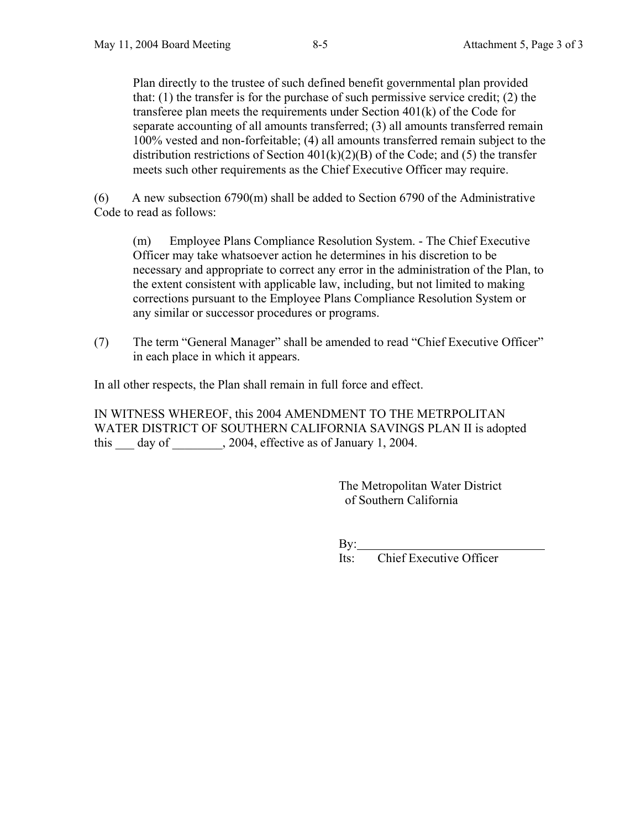Plan directly to the trustee of such defined benefit governmental plan provided that: (1) the transfer is for the purchase of such permissive service credit; (2) the transferee plan meets the requirements under Section 401(k) of the Code for separate accounting of all amounts transferred; (3) all amounts transferred remain 100% vested and non-forfeitable; (4) all amounts transferred remain subject to the distribution restrictions of Section  $401(k)(2)(B)$  of the Code; and (5) the transfer meets such other requirements as the Chief Executive Officer may require.

(6) A new subsection 6790(m) shall be added to Section 6790 of the Administrative Code to read as follows:

 (m) Employee Plans Compliance Resolution System. - The Chief Executive Officer may take whatsoever action he determines in his discretion to be necessary and appropriate to correct any error in the administration of the Plan, to the extent consistent with applicable law, including, but not limited to making corrections pursuant to the Employee Plans Compliance Resolution System or any similar or successor procedures or programs.

(7) The term "General Manager" shall be amended to read "Chief Executive Officer" in each place in which it appears.

In all other respects, the Plan shall remain in full force and effect.

IN WITNESS WHEREOF, this 2004 AMENDMENT TO THE METRPOLITAN WATER DISTRICT OF SOUTHERN CALIFORNIA SAVINGS PLAN II is adopted this  $\frac{day}{dx}$  day of  $\frac{2004}{x}$ , effective as of January 1, 2004.

> The Metropolitan Water District of Southern California

 $\rm By:$ 

Its: Chief Executive Officer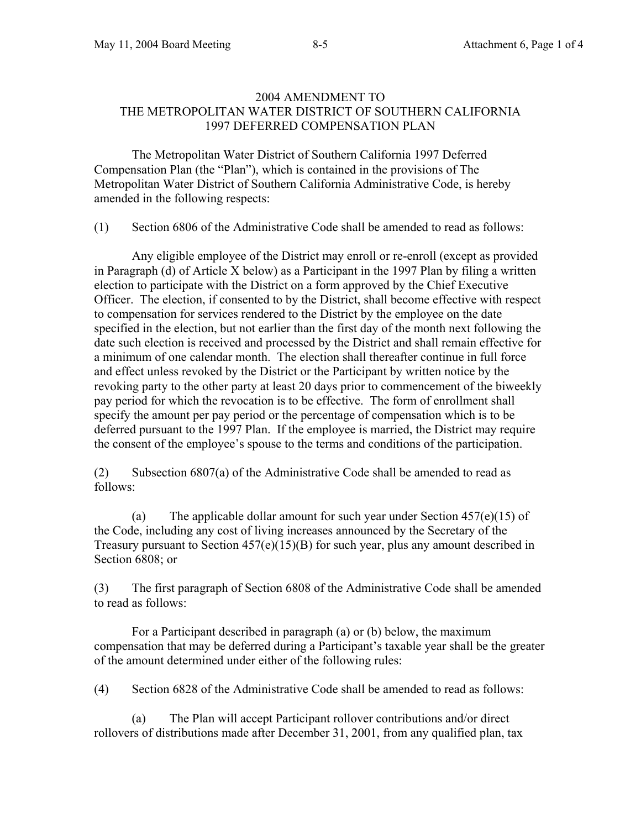### 2004 AMENDMENT TO THE METROPOLITAN WATER DISTRICT OF SOUTHERN CALIFORNIA 1997 DEFERRED COMPENSATION PLAN

 The Metropolitan Water District of Southern California 1997 Deferred Compensation Plan (the "Plan"), which is contained in the provisions of The Metropolitan Water District of Southern California Administrative Code, is hereby amended in the following respects:

(1) Section 6806 of the Administrative Code shall be amended to read as follows:

 Any eligible employee of the District may enroll or re-enroll (except as provided in Paragraph (d) of Article X below) as a Participant in the 1997 Plan by filing a written election to participate with the District on a form approved by the Chief Executive Officer. The election, if consented to by the District, shall become effective with respect to compensation for services rendered to the District by the employee on the date specified in the election, but not earlier than the first day of the month next following the date such election is received and processed by the District and shall remain effective for a minimum of one calendar month. The election shall thereafter continue in full force and effect unless revoked by the District or the Participant by written notice by the revoking party to the other party at least 20 days prior to commencement of the biweekly pay period for which the revocation is to be effective. The form of enrollment shall specify the amount per pay period or the percentage of compensation which is to be deferred pursuant to the 1997 Plan. If the employee is married, the District may require the consent of the employee's spouse to the terms and conditions of the participation.

(2) Subsection 6807(a) of the Administrative Code shall be amended to read as follows:

(a) The applicable dollar amount for such year under Section  $457(e)(15)$  of the Code, including any cost of living increases announced by the Secretary of the Treasury pursuant to Section  $457(e)(15)(B)$  for such year, plus any amount described in Section 6808; or

(3) The first paragraph of Section 6808 of the Administrative Code shall be amended to read as follows:

For a Participant described in paragraph (a) or (b) below, the maximum compensation that may be deferred during a Participant's taxable year shall be the greater of the amount determined under either of the following rules:

(4) Section 6828 of the Administrative Code shall be amended to read as follows:

 (a) The Plan will accept Participant rollover contributions and/or direct rollovers of distributions made after December 31, 2001, from any qualified plan, tax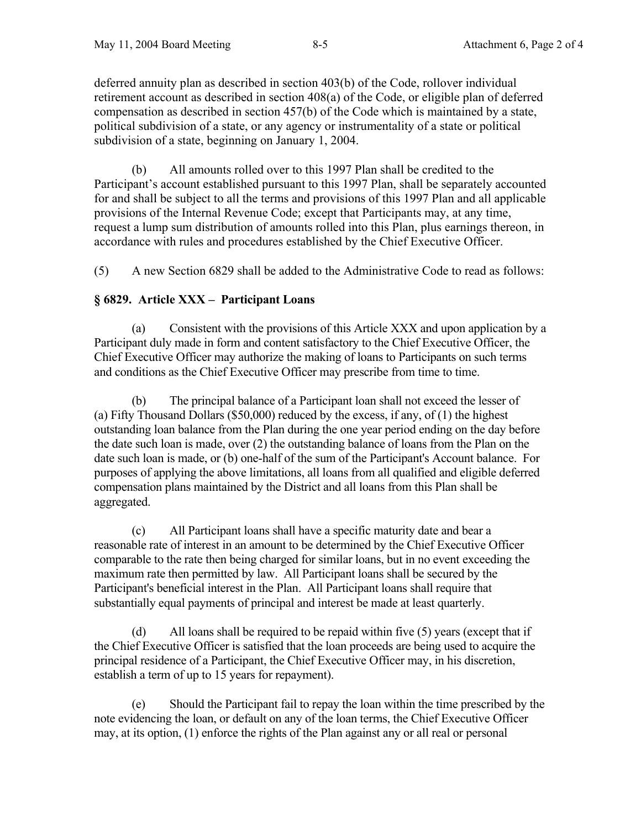deferred annuity plan as described in section 403(b) of the Code, rollover individual retirement account as described in section 408(a) of the Code, or eligible plan of deferred compensation as described in section 457(b) of the Code which is maintained by a state, political subdivision of a state, or any agency or instrumentality of a state or political subdivision of a state, beginning on January 1, 2004.

 (b) All amounts rolled over to this 1997 Plan shall be credited to the Participant's account established pursuant to this 1997 Plan, shall be separately accounted for and shall be subject to all the terms and provisions of this 1997 Plan and all applicable provisions of the Internal Revenue Code; except that Participants may, at any time, request a lump sum distribution of amounts rolled into this Plan, plus earnings thereon, in accordance with rules and procedures established by the Chief Executive Officer.

(5) A new Section 6829 shall be added to the Administrative Code to read as follows:

# **§ 6829. Article XXX – Participant Loans**

 (a) Consistent with the provisions of this Article XXX and upon application by a Participant duly made in form and content satisfactory to the Chief Executive Officer, the Chief Executive Officer may authorize the making of loans to Participants on such terms and conditions as the Chief Executive Officer may prescribe from time to time.

 (b) The principal balance of a Participant loan shall not exceed the lesser of (a) Fifty Thousand Dollars (\$50,000) reduced by the excess, if any, of  $(1)$  the highest outstanding loan balance from the Plan during the one year period ending on the day before the date such loan is made, over (2) the outstanding balance of loans from the Plan on the date such loan is made, or (b) one-half of the sum of the Participant's Account balance. For purposes of applying the above limitations, all loans from all qualified and eligible deferred compensation plans maintained by the District and all loans from this Plan shall be aggregated.

 (c) All Participant loans shall have a specific maturity date and bear a reasonable rate of interest in an amount to be determined by the Chief Executive Officer comparable to the rate then being charged for similar loans, but in no event exceeding the maximum rate then permitted by law. All Participant loans shall be secured by the Participant's beneficial interest in the Plan. All Participant loans shall require that substantially equal payments of principal and interest be made at least quarterly.

 (d) All loans shall be required to be repaid within five (5) years (except that if the Chief Executive Officer is satisfied that the loan proceeds are being used to acquire the principal residence of a Participant, the Chief Executive Officer may, in his discretion, establish a term of up to 15 years for repayment).

 (e) Should the Participant fail to repay the loan within the time prescribed by the note evidencing the loan, or default on any of the loan terms, the Chief Executive Officer may, at its option, (1) enforce the rights of the Plan against any or all real or personal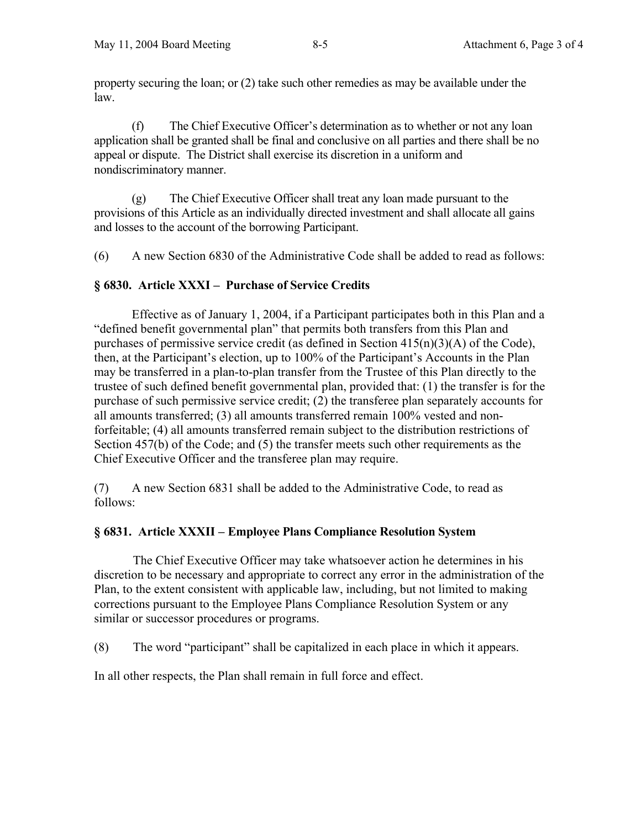property securing the loan; or (2) take such other remedies as may be available under the law.

 (f) The Chief Executive Officer's determination as to whether or not any loan application shall be granted shall be final and conclusive on all parties and there shall be no appeal or dispute. The District shall exercise its discretion in a uniform and nondiscriminatory manner.

 (g) The Chief Executive Officer shall treat any loan made pursuant to the provisions of this Article as an individually directed investment and shall allocate all gains and losses to the account of the borrowing Participant.

(6) A new Section 6830 of the Administrative Code shall be added to read as follows:

# **§ 6830. Article XXXI – Purchase of Service Credits**

Effective as of January 1, 2004, if a Participant participates both in this Plan and a "defined benefit governmental plan" that permits both transfers from this Plan and purchases of permissive service credit (as defined in Section 415(n)(3)(A) of the Code), then, at the Participant's election, up to 100% of the Participant's Accounts in the Plan may be transferred in a plan-to-plan transfer from the Trustee of this Plan directly to the trustee of such defined benefit governmental plan, provided that: (1) the transfer is for the purchase of such permissive service credit; (2) the transferee plan separately accounts for all amounts transferred; (3) all amounts transferred remain 100% vested and nonforfeitable; (4) all amounts transferred remain subject to the distribution restrictions of Section 457(b) of the Code; and (5) the transfer meets such other requirements as the Chief Executive Officer and the transferee plan may require.

(7) A new Section 6831 shall be added to the Administrative Code, to read as follows:

### **§ 6831. Article XXXII – Employee Plans Compliance Resolution System**

The Chief Executive Officer may take whatsoever action he determines in his discretion to be necessary and appropriate to correct any error in the administration of the Plan, to the extent consistent with applicable law, including, but not limited to making corrections pursuant to the Employee Plans Compliance Resolution System or any similar or successor procedures or programs.

(8) The word "participant" shall be capitalized in each place in which it appears.

In all other respects, the Plan shall remain in full force and effect.